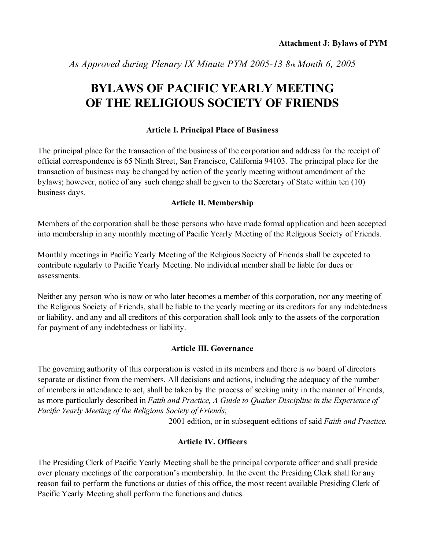*As Approved during Plenary IX Minute PYM 2005-13 8th Month 6, 2005*

# **BYLAWS OF PACIFIC YEARLY MEETING OF THE RELIGIOUS SOCIETY OF FRIENDS**

#### **Article I. Principal Place of Business**

The principal place for the transaction of the business of the corporation and address for the receipt of official correspondence is 65 Ninth Street, San Francisco, California 94103. The principal place for the transaction of business may be changed by action of the yearly meeting without amendment of the bylaws; however, notice of any such change shall be given to the Secretary of State within ten (10) business days.

#### **Article II. Membership**

Members of the corporation shall be those persons who have made formal application and been accepted into membership in any monthly meeting of Pacific Yearly Meeting of the Religious Society of Friends.

Monthly meetings in Pacific Yearly Meeting of the Religious Society of Friends shall be expected to contribute regularly to Pacific Yearly Meeting. No individual member shall be liable for dues or assessments.

Neither any person who is now or who later becomes a member of this corporation, nor any meeting of the Religious Society of Friends, shall be liable to the yearly meeting or its creditors for any indebtedness or liability, and any and all creditors of this corporation shall look only to the assets of the corporation for payment of any indebtedness or liability.

### **Article III. Governance**

The governing authority of this corporation is vested in its members and there is *no* board of directors separate or distinct from the members. All decisions and actions, including the adequacy of the number of members in attendance to act, shall be taken by the process of seeking unity in the manner of Friends, as more particularly described in *Faith and Practice, A Guide to Quaker Discipline in the Experience of Pacific Yearly Meeting of the Religious Society of Friends*,

2001 edition, or in subsequent editions of said *Faith and Practice.*

### **Article IV. Officers**

The Presiding Clerk of Pacific Yearly Meeting shall be the principal corporate officer and shall preside over plenary meetings of the corporation's membership. In the event the Presiding Clerk shall for any reason fail to perform the functions or duties of this office, the most recent available Presiding Clerk of Pacific Yearly Meeting shall perform the functions and duties.